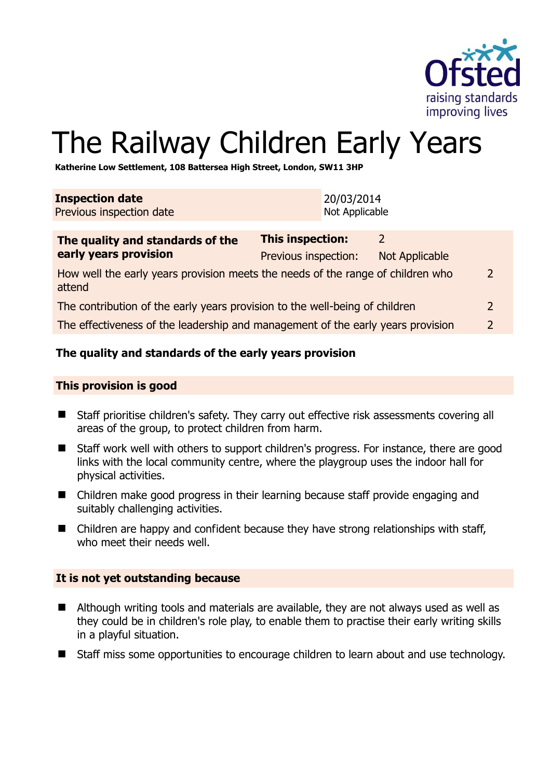

# The Railway Children Early Years

**Katherine Low Settlement, 108 Battersea High Street, London, SW11 3HP** 

| <b>Inspection date</b><br>Previous inspection date |                      | 20/03/2014<br>Not Applicable |                |
|----------------------------------------------------|----------------------|------------------------------|----------------|
| The quality and standards of the                   | This inspection:     |                              |                |
| early years provision                              | Previous inspection: |                              | Not Applicable |

| How well the early years provision meets the needs of the range of children who<br>attend | 2             |
|-------------------------------------------------------------------------------------------|---------------|
| The contribution of the early years provision to the well-being of children               |               |
| The effectiveness of the leadership and management of the early years provision           | $\mathcal{D}$ |

## **The quality and standards of the early years provision**

#### **This provision is good**

- Staff prioritise children's safety. They carry out effective risk assessments covering all areas of the group, to protect children from harm.
- Staff work well with others to support children's progress. For instance, there are good links with the local community centre, where the playgroup uses the indoor hall for physical activities.
- Children make good progress in their learning because staff provide engaging and suitably challenging activities.
- Children are happy and confident because they have strong relationships with staff, who meet their needs well.

#### **It is not yet outstanding because**

- Although writing tools and materials are available, they are not always used as well as they could be in children's role play, to enable them to practise their early writing skills in a playful situation.
- Staff miss some opportunities to encourage children to learn about and use technology.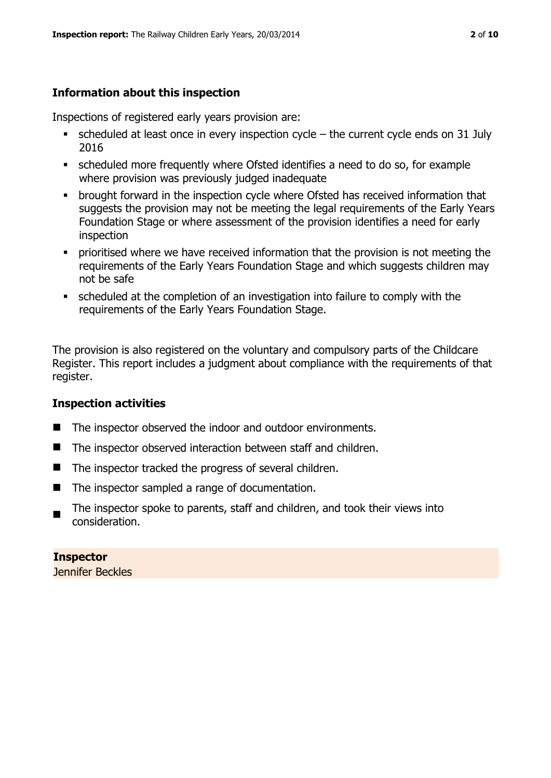# **Information about this inspection**

Inspections of registered early years provision are:

- scheduled at least once in every inspection cycle the current cycle ends on 31 July 2016
- scheduled more frequently where Ofsted identifies a need to do so, for example where provision was previously judged inadequate
- **•** brought forward in the inspection cycle where Ofsted has received information that suggests the provision may not be meeting the legal requirements of the Early Years Foundation Stage or where assessment of the provision identifies a need for early inspection
- **•** prioritised where we have received information that the provision is not meeting the requirements of the Early Years Foundation Stage and which suggests children may not be safe
- scheduled at the completion of an investigation into failure to comply with the requirements of the Early Years Foundation Stage.

The provision is also registered on the voluntary and compulsory parts of the Childcare Register. This report includes a judgment about compliance with the requirements of that register.

# **Inspection activities**

- The inspector observed the indoor and outdoor environments.
- The inspector observed interaction between staff and children.
- The inspector tracked the progress of several children.
- The inspector sampled a range of documentation.
- $\blacksquare$ The inspector spoke to parents, staff and children, and took their views into consideration.

# **Inspector**

Jennifer Beckles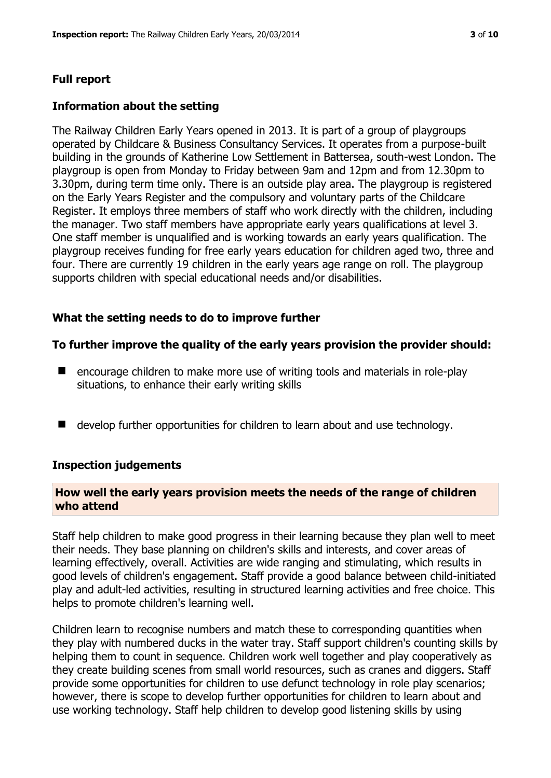#### **Full report**

#### **Information about the setting**

The Railway Children Early Years opened in 2013. It is part of a group of playgroups operated by Childcare & Business Consultancy Services. It operates from a purpose-built building in the grounds of Katherine Low Settlement in Battersea, south-west London. The playgroup is open from Monday to Friday between 9am and 12pm and from 12.30pm to 3.30pm, during term time only. There is an outside play area. The playgroup is registered on the Early Years Register and the compulsory and voluntary parts of the Childcare Register. It employs three members of staff who work directly with the children, including the manager. Two staff members have appropriate early years qualifications at level 3. One staff member is unqualified and is working towards an early years qualification. The playgroup receives funding for free early years education for children aged two, three and four. There are currently 19 children in the early years age range on roll. The playgroup supports children with special educational needs and/or disabilities.

#### **What the setting needs to do to improve further**

#### **To further improve the quality of the early years provision the provider should:**

- encourage children to make more use of writing tools and materials in role-play situations, to enhance their early writing skills
- develop further opportunities for children to learn about and use technology.

#### **Inspection judgements**

#### **How well the early years provision meets the needs of the range of children who attend**

Staff help children to make good progress in their learning because they plan well to meet their needs. They base planning on children's skills and interests, and cover areas of learning effectively, overall. Activities are wide ranging and stimulating, which results in good levels of children's engagement. Staff provide a good balance between child-initiated play and adult-led activities, resulting in structured learning activities and free choice. This helps to promote children's learning well.

Children learn to recognise numbers and match these to corresponding quantities when they play with numbered ducks in the water tray. Staff support children's counting skills by helping them to count in sequence. Children work well together and play cooperatively as they create building scenes from small world resources, such as cranes and diggers. Staff provide some opportunities for children to use defunct technology in role play scenarios; however, there is scope to develop further opportunities for children to learn about and use working technology. Staff help children to develop good listening skills by using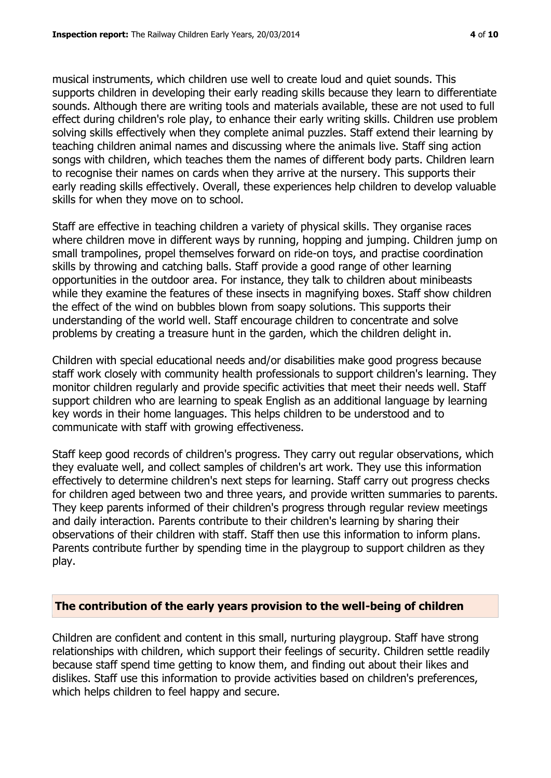musical instruments, which children use well to create loud and quiet sounds. This supports children in developing their early reading skills because they learn to differentiate sounds. Although there are writing tools and materials available, these are not used to full effect during children's role play, to enhance their early writing skills. Children use problem solving skills effectively when they complete animal puzzles. Staff extend their learning by teaching children animal names and discussing where the animals live. Staff sing action songs with children, which teaches them the names of different body parts. Children learn to recognise their names on cards when they arrive at the nursery. This supports their early reading skills effectively. Overall, these experiences help children to develop valuable skills for when they move on to school.

Staff are effective in teaching children a variety of physical skills. They organise races where children move in different ways by running, hopping and jumping. Children jump on small trampolines, propel themselves forward on ride-on toys, and practise coordination skills by throwing and catching balls. Staff provide a good range of other learning opportunities in the outdoor area. For instance, they talk to children about minibeasts while they examine the features of these insects in magnifying boxes. Staff show children the effect of the wind on bubbles blown from soapy solutions. This supports their understanding of the world well. Staff encourage children to concentrate and solve problems by creating a treasure hunt in the garden, which the children delight in.

Children with special educational needs and/or disabilities make good progress because staff work closely with community health professionals to support children's learning. They monitor children regularly and provide specific activities that meet their needs well. Staff support children who are learning to speak English as an additional language by learning key words in their home languages. This helps children to be understood and to communicate with staff with growing effectiveness.

Staff keep good records of children's progress. They carry out regular observations, which they evaluate well, and collect samples of children's art work. They use this information effectively to determine children's next steps for learning. Staff carry out progress checks for children aged between two and three years, and provide written summaries to parents. They keep parents informed of their children's progress through regular review meetings and daily interaction. Parents contribute to their children's learning by sharing their observations of their children with staff. Staff then use this information to inform plans. Parents contribute further by spending time in the playgroup to support children as they play.

#### **The contribution of the early years provision to the well-being of children**

Children are confident and content in this small, nurturing playgroup. Staff have strong relationships with children, which support their feelings of security. Children settle readily because staff spend time getting to know them, and finding out about their likes and dislikes. Staff use this information to provide activities based on children's preferences, which helps children to feel happy and secure.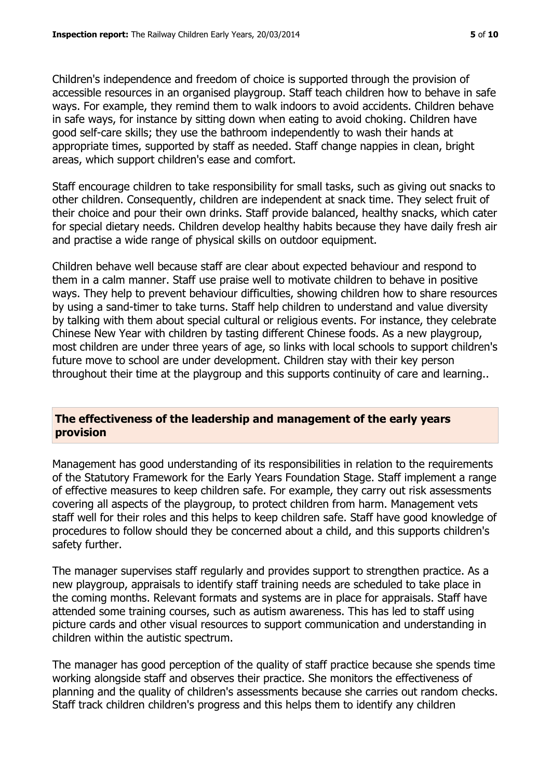Children's independence and freedom of choice is supported through the provision of accessible resources in an organised playgroup. Staff teach children how to behave in safe ways. For example, they remind them to walk indoors to avoid accidents. Children behave in safe ways, for instance by sitting down when eating to avoid choking. Children have good self-care skills; they use the bathroom independently to wash their hands at appropriate times, supported by staff as needed. Staff change nappies in clean, bright areas, which support children's ease and comfort.

Staff encourage children to take responsibility for small tasks, such as giving out snacks to other children. Consequently, children are independent at snack time. They select fruit of their choice and pour their own drinks. Staff provide balanced, healthy snacks, which cater for special dietary needs. Children develop healthy habits because they have daily fresh air and practise a wide range of physical skills on outdoor equipment.

Children behave well because staff are clear about expected behaviour and respond to them in a calm manner. Staff use praise well to motivate children to behave in positive ways. They help to prevent behaviour difficulties, showing children how to share resources by using a sand-timer to take turns. Staff help children to understand and value diversity by talking with them about special cultural or religious events. For instance, they celebrate Chinese New Year with children by tasting different Chinese foods. As a new playgroup, most children are under three years of age, so links with local schools to support children's future move to school are under development. Children stay with their key person throughout their time at the playgroup and this supports continuity of care and learning..

# **The effectiveness of the leadership and management of the early years provision**

Management has good understanding of its responsibilities in relation to the requirements of the Statutory Framework for the Early Years Foundation Stage. Staff implement a range of effective measures to keep children safe. For example, they carry out risk assessments covering all aspects of the playgroup, to protect children from harm. Management vets staff well for their roles and this helps to keep children safe. Staff have good knowledge of procedures to follow should they be concerned about a child, and this supports children's safety further.

The manager supervises staff regularly and provides support to strengthen practice. As a new playgroup, appraisals to identify staff training needs are scheduled to take place in the coming months. Relevant formats and systems are in place for appraisals. Staff have attended some training courses, such as autism awareness. This has led to staff using picture cards and other visual resources to support communication and understanding in children within the autistic spectrum.

The manager has good perception of the quality of staff practice because she spends time working alongside staff and observes their practice. She monitors the effectiveness of planning and the quality of children's assessments because she carries out random checks. Staff track children children's progress and this helps them to identify any children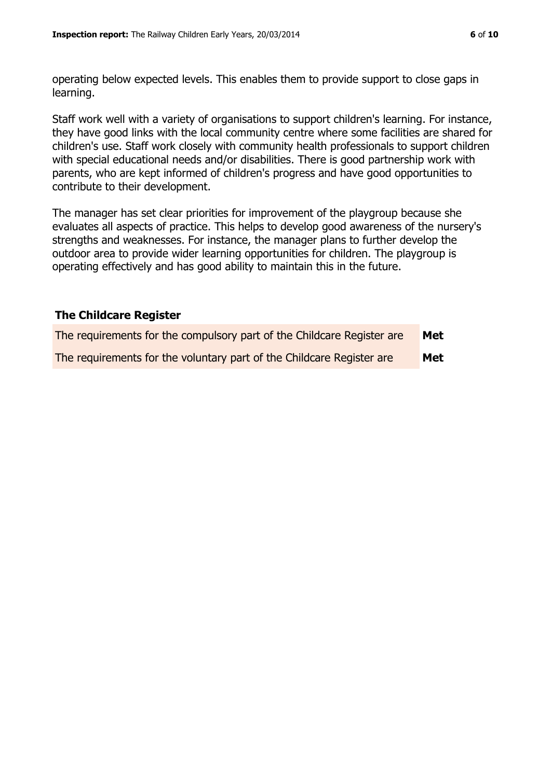operating below expected levels. This enables them to provide support to close gaps in learning.

Staff work well with a variety of organisations to support children's learning. For instance, they have good links with the local community centre where some facilities are shared for children's use. Staff work closely with community health professionals to support children with special educational needs and/or disabilities. There is good partnership work with parents, who are kept informed of children's progress and have good opportunities to contribute to their development.

The manager has set clear priorities for improvement of the playgroup because she evaluates all aspects of practice. This helps to develop good awareness of the nursery's strengths and weaknesses. For instance, the manager plans to further develop the outdoor area to provide wider learning opportunities for children. The playgroup is operating effectively and has good ability to maintain this in the future.

## **The Childcare Register**

| The requirements for the compulsory part of the Childcare Register are | Met        |
|------------------------------------------------------------------------|------------|
| The requirements for the voluntary part of the Childcare Register are  | <b>Met</b> |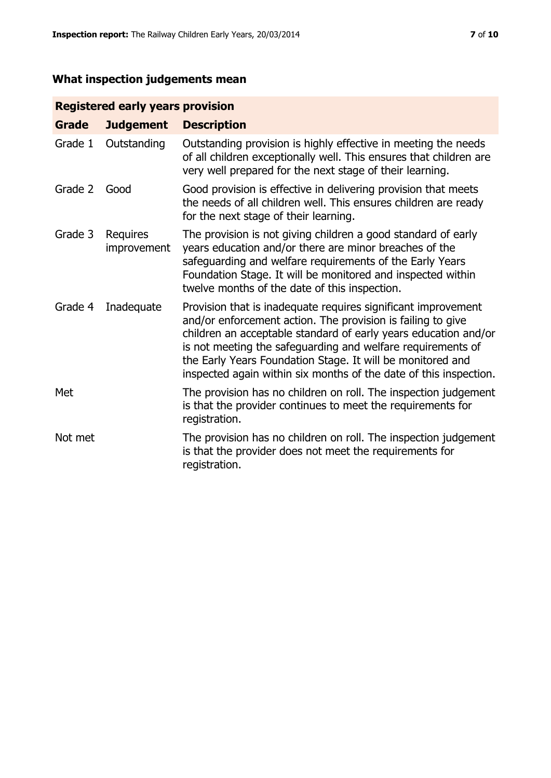# **What inspection judgements mean**

# **Registered early years provision**

| <b>Grade</b> | <b>Judgement</b>        | <b>Description</b>                                                                                                                                                                                                                                                                                                                                                                                |
|--------------|-------------------------|---------------------------------------------------------------------------------------------------------------------------------------------------------------------------------------------------------------------------------------------------------------------------------------------------------------------------------------------------------------------------------------------------|
| Grade 1      | Outstanding             | Outstanding provision is highly effective in meeting the needs<br>of all children exceptionally well. This ensures that children are<br>very well prepared for the next stage of their learning.                                                                                                                                                                                                  |
| Grade 2      | Good                    | Good provision is effective in delivering provision that meets<br>the needs of all children well. This ensures children are ready<br>for the next stage of their learning.                                                                                                                                                                                                                        |
| Grade 3      | Requires<br>improvement | The provision is not giving children a good standard of early<br>years education and/or there are minor breaches of the<br>safeguarding and welfare requirements of the Early Years<br>Foundation Stage. It will be monitored and inspected within<br>twelve months of the date of this inspection.                                                                                               |
| Grade 4      | Inadequate              | Provision that is inadequate requires significant improvement<br>and/or enforcement action. The provision is failing to give<br>children an acceptable standard of early years education and/or<br>is not meeting the safeguarding and welfare requirements of<br>the Early Years Foundation Stage. It will be monitored and<br>inspected again within six months of the date of this inspection. |
| Met          |                         | The provision has no children on roll. The inspection judgement<br>is that the provider continues to meet the requirements for<br>registration.                                                                                                                                                                                                                                                   |
| Not met      |                         | The provision has no children on roll. The inspection judgement<br>is that the provider does not meet the requirements for<br>registration.                                                                                                                                                                                                                                                       |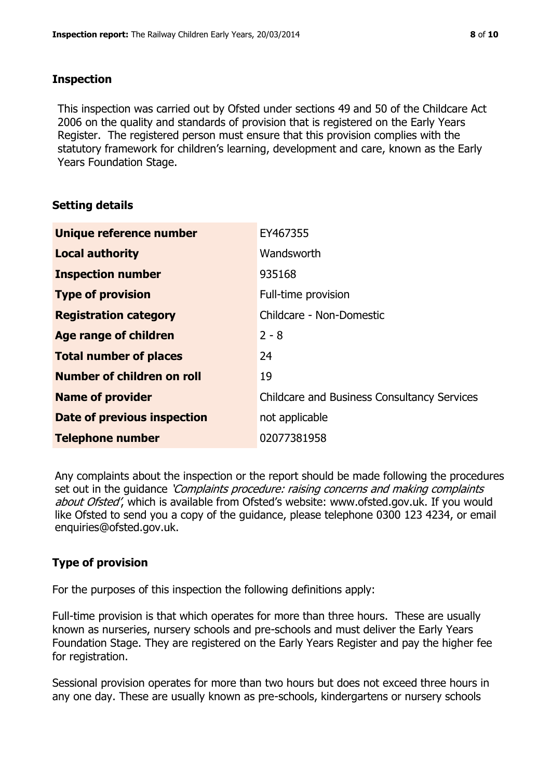## **Inspection**

This inspection was carried out by Ofsted under sections 49 and 50 of the Childcare Act 2006 on the quality and standards of provision that is registered on the Early Years Register. The registered person must ensure that this provision complies with the statutory framework for children's learning, development and care, known as the Early Years Foundation Stage.

# **Setting details**

| Unique reference number       | EY467355                                           |
|-------------------------------|----------------------------------------------------|
| <b>Local authority</b>        | Wandsworth                                         |
| <b>Inspection number</b>      | 935168                                             |
| <b>Type of provision</b>      | Full-time provision                                |
| <b>Registration category</b>  | Childcare - Non-Domestic                           |
| Age range of children         | $2 - 8$                                            |
| <b>Total number of places</b> | 24                                                 |
| Number of children on roll    | 19                                                 |
| <b>Name of provider</b>       | <b>Childcare and Business Consultancy Services</b> |
| Date of previous inspection   | not applicable                                     |
| <b>Telephone number</b>       | 02077381958                                        |

Any complaints about the inspection or the report should be made following the procedures set out in the guidance *'Complaints procedure: raising concerns and making complaints* about Ofsted', which is available from Ofsted's website: www.ofsted.gov.uk. If you would like Ofsted to send you a copy of the guidance, please telephone 0300 123 4234, or email enquiries@ofsted.gov.uk.

# **Type of provision**

For the purposes of this inspection the following definitions apply:

Full-time provision is that which operates for more than three hours. These are usually known as nurseries, nursery schools and pre-schools and must deliver the Early Years Foundation Stage. They are registered on the Early Years Register and pay the higher fee for registration.

Sessional provision operates for more than two hours but does not exceed three hours in any one day. These are usually known as pre-schools, kindergartens or nursery schools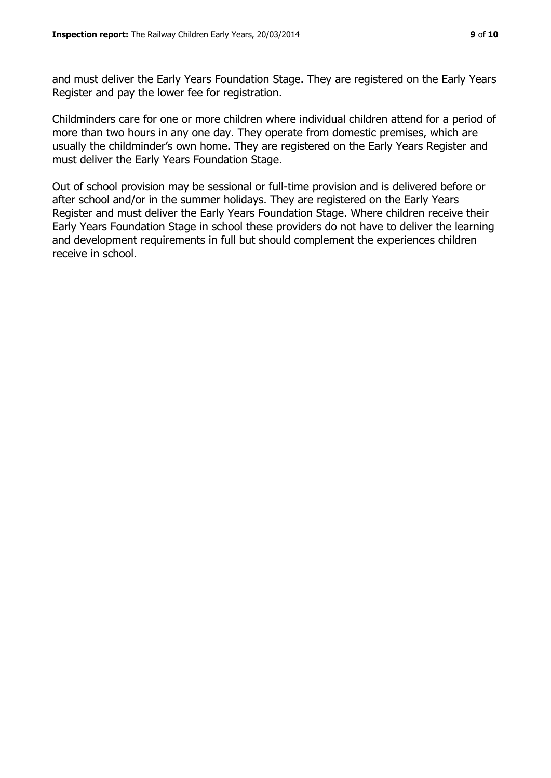and must deliver the Early Years Foundation Stage. They are registered on the Early Years Register and pay the lower fee for registration.

Childminders care for one or more children where individual children attend for a period of more than two hours in any one day. They operate from domestic premises, which are usually the childminder's own home. They are registered on the Early Years Register and must deliver the Early Years Foundation Stage.

Out of school provision may be sessional or full-time provision and is delivered before or after school and/or in the summer holidays. They are registered on the Early Years Register and must deliver the Early Years Foundation Stage. Where children receive their Early Years Foundation Stage in school these providers do not have to deliver the learning and development requirements in full but should complement the experiences children receive in school.